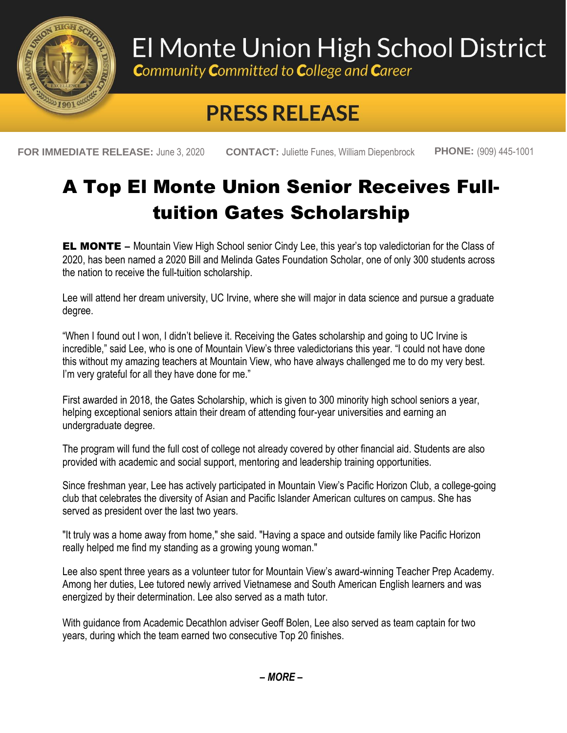

## El Monte Union High School District

**Community Committed to College and Career** 

## **PRESS RELEASE**

**FOR IMMEDIATE RELEASE:** June 3, 2020 **CONTACT:** Juliette Funes, William Diepenbrock **PHONE:** (909) 445-1001

## A Top El Monte Union Senior Receives Fulltuition Gates Scholarship

**EL MONTE** – Mountain View High School senior Cindy Lee, this year's top valedictorian for the Class of 2020, has been named a 2020 Bill and Melinda Gates Foundation Scholar, one of only 300 students across the nation to receive the full-tuition scholarship.

Lee will attend her dream university, UC Irvine, where she will major in data science and pursue a graduate degree.

"When I found out I won, I didn't believe it. Receiving the Gates scholarship and going to UC Irvine is incredible," said Lee, who is one of Mountain View's three valedictorians this year. "I could not have done this without my amazing teachers at Mountain View, who have always challenged me to do my very best. I'm very grateful for all they have done for me."

First awarded in 2018, the Gates Scholarship, which is given to 300 minority high school seniors a year, helping exceptional seniors attain their dream of attending four-year universities and earning an undergraduate degree.

The program will fund the full cost of college not already covered by other financial aid. Students are also provided with academic and social support, mentoring and leadership training opportunities.

Since freshman year, Lee has actively participated in Mountain View's Pacific Horizon Club, a college-going club that celebrates the diversity of Asian and Pacific Islander American cultures on campus. She has served as president over the last two years.

"It truly was a home away from home," she said. "Having a space and outside family like Pacific Horizon really helped me find my standing as a growing young woman."

Lee also spent three years as a volunteer tutor for Mountain View's award-winning Teacher Prep Academy. Among her duties, Lee tutored newly arrived Vietnamese and South American English learners and was energized by their determination. Lee also served as a math tutor.

With guidance from Academic Decathlon adviser Geoff Bolen, Lee also served as team captain for two years, during which the team earned two consecutive Top 20 finishes.